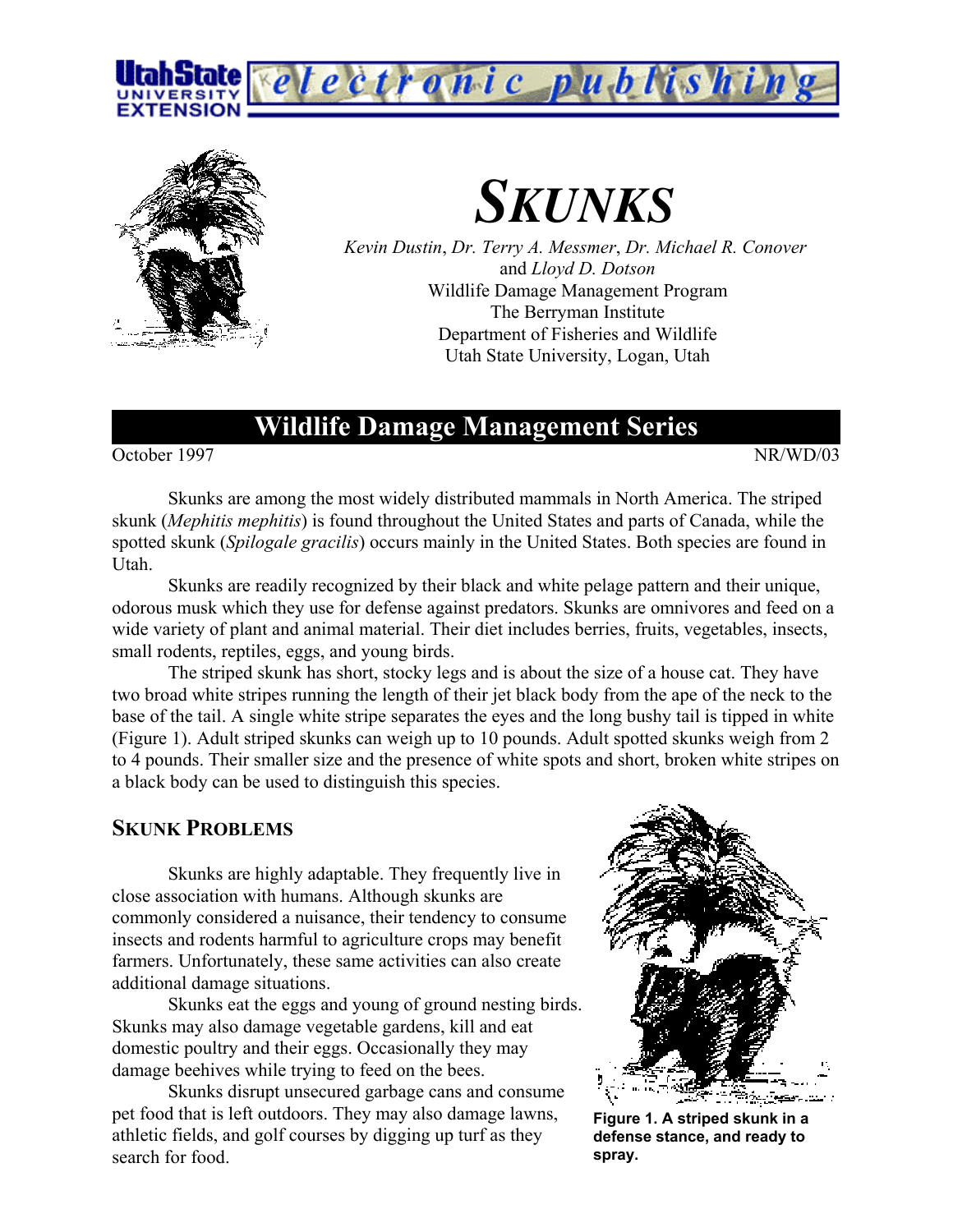



# *SKUNKS*

*Kevin Dustin*, *Dr. Terry A. Messmer*, *Dr. Michael R. Conover* and *Lloyd D. Dotson* Wildlife Damage Management Program The Berryman Institute Department of Fisheries and Wildlife Utah State University, Logan, Utah

# **Wildlife Damage Management Series**

October 1997 NR/WD/03

Skunks are among the most widely distributed mammals in North America. The striped skunk (*Mephitis mephitis*) is found throughout the United States and parts of Canada, while the spotted skunk (*Spilogale gracilis*) occurs mainly in the United States. Both species are found in Utah.

Skunks are readily recognized by their black and white pelage pattern and their unique, odorous musk which they use for defense against predators. Skunks are omnivores and feed on a wide variety of plant and animal material. Their diet includes berries, fruits, vegetables, insects, small rodents, reptiles, eggs, and young birds.

The striped skunk has short, stocky legs and is about the size of a house cat. They have two broad white stripes running the length of their jet black body from the ape of the neck to the base of the tail. A single white stripe separates the eyes and the long bushy tail is tipped in white (Figure 1). Adult striped skunks can weigh up to 10 pounds. Adult spotted skunks weigh from 2 to 4 pounds. Their smaller size and the presence of white spots and short, broken white stripes on a black body can be used to distinguish this species.

### **SKUNK PROBLEMS**

Skunks are highly adaptable. They frequently live in close association with humans. Although skunks are commonly considered a nuisance, their tendency to consume insects and rodents harmful to agriculture crops may benefit farmers. Unfortunately, these same activities can also create additional damage situations.

Skunks eat the eggs and young of ground nesting birds. Skunks may also damage vegetable gardens, kill and eat domestic poultry and their eggs. Occasionally they may damage beehives while trying to feed on the bees.

Skunks disrupt unsecured garbage cans and consume pet food that is left outdoors. They may also damage lawns, athletic fields, and golf courses by digging up turf as they search for food.



**Figure 1. A striped skunk in a defense stance, and ready to spray.**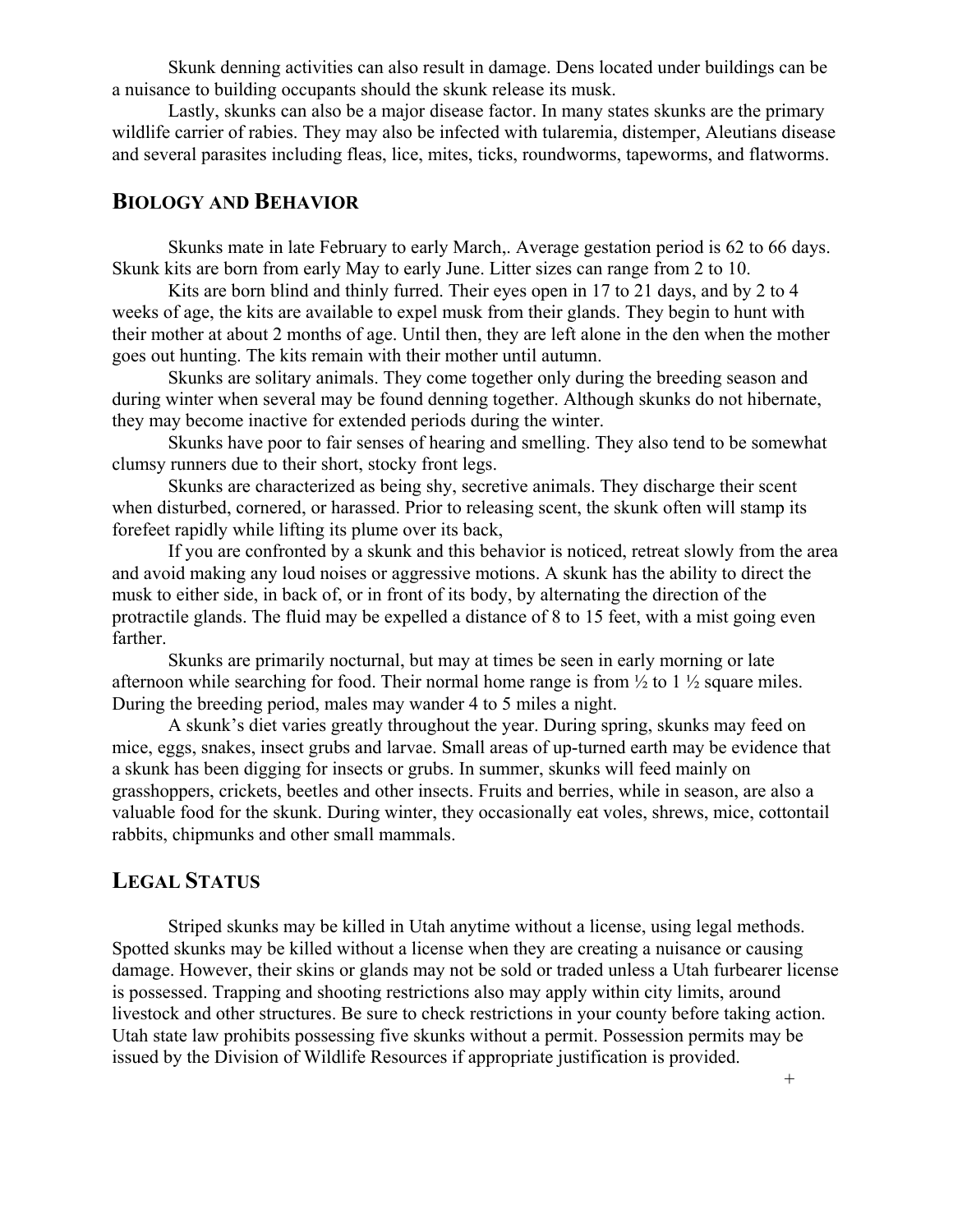Skunk denning activities can also result in damage. Dens located under buildings can be a nuisance to building occupants should the skunk release its musk.

Lastly, skunks can also be a major disease factor. In many states skunks are the primary wildlife carrier of rabies. They may also be infected with tularemia, distemper, Aleutians disease and several parasites including fleas, lice, mites, ticks, roundworms, tapeworms, and flatworms.

## **BIOLOGY AND BEHAVIOR**

Skunks mate in late February to early March,. Average gestation period is 62 to 66 days. Skunk kits are born from early May to early June. Litter sizes can range from 2 to 10.

Kits are born blind and thinly furred. Their eyes open in 17 to 21 days, and by 2 to 4 weeks of age, the kits are available to expel musk from their glands. They begin to hunt with their mother at about 2 months of age. Until then, they are left alone in the den when the mother goes out hunting. The kits remain with their mother until autumn.

Skunks are solitary animals. They come together only during the breeding season and during winter when several may be found denning together. Although skunks do not hibernate, they may become inactive for extended periods during the winter.

Skunks have poor to fair senses of hearing and smelling. They also tend to be somewhat clumsy runners due to their short, stocky front legs.

Skunks are characterized as being shy, secretive animals. They discharge their scent when disturbed, cornered, or harassed. Prior to releasing scent, the skunk often will stamp its forefeet rapidly while lifting its plume over its back,

If you are confronted by a skunk and this behavior is noticed, retreat slowly from the area and avoid making any loud noises or aggressive motions. A skunk has the ability to direct the musk to either side, in back of, or in front of its body, by alternating the direction of the protractile glands. The fluid may be expelled a distance of 8 to 15 feet, with a mist going even farther.

Skunks are primarily nocturnal, but may at times be seen in early morning or late afternoon while searching for food. Their normal home range is from  $\frac{1}{2}$  to 1  $\frac{1}{2}$  square miles. During the breeding period, males may wander 4 to 5 miles a night.

A skunk's diet varies greatly throughout the year. During spring, skunks may feed on mice, eggs, snakes, insect grubs and larvae. Small areas of up-turned earth may be evidence that a skunk has been digging for insects or grubs. In summer, skunks will feed mainly on grasshoppers, crickets, beetles and other insects. Fruits and berries, while in season, are also a valuable food for the skunk. During winter, they occasionally eat voles, shrews, mice, cottontail rabbits, chipmunks and other small mammals.

# **LEGAL STATUS**

Striped skunks may be killed in Utah anytime without a license, using legal methods. Spotted skunks may be killed without a license when they are creating a nuisance or causing damage. However, their skins or glands may not be sold or traded unless a Utah furbearer license is possessed. Trapping and shooting restrictions also may apply within city limits, around livestock and other structures. Be sure to check restrictions in your county before taking action. Utah state law prohibits possessing five skunks without a permit. Possession permits may be issued by the Division of Wildlife Resources if appropriate justification is provided.

+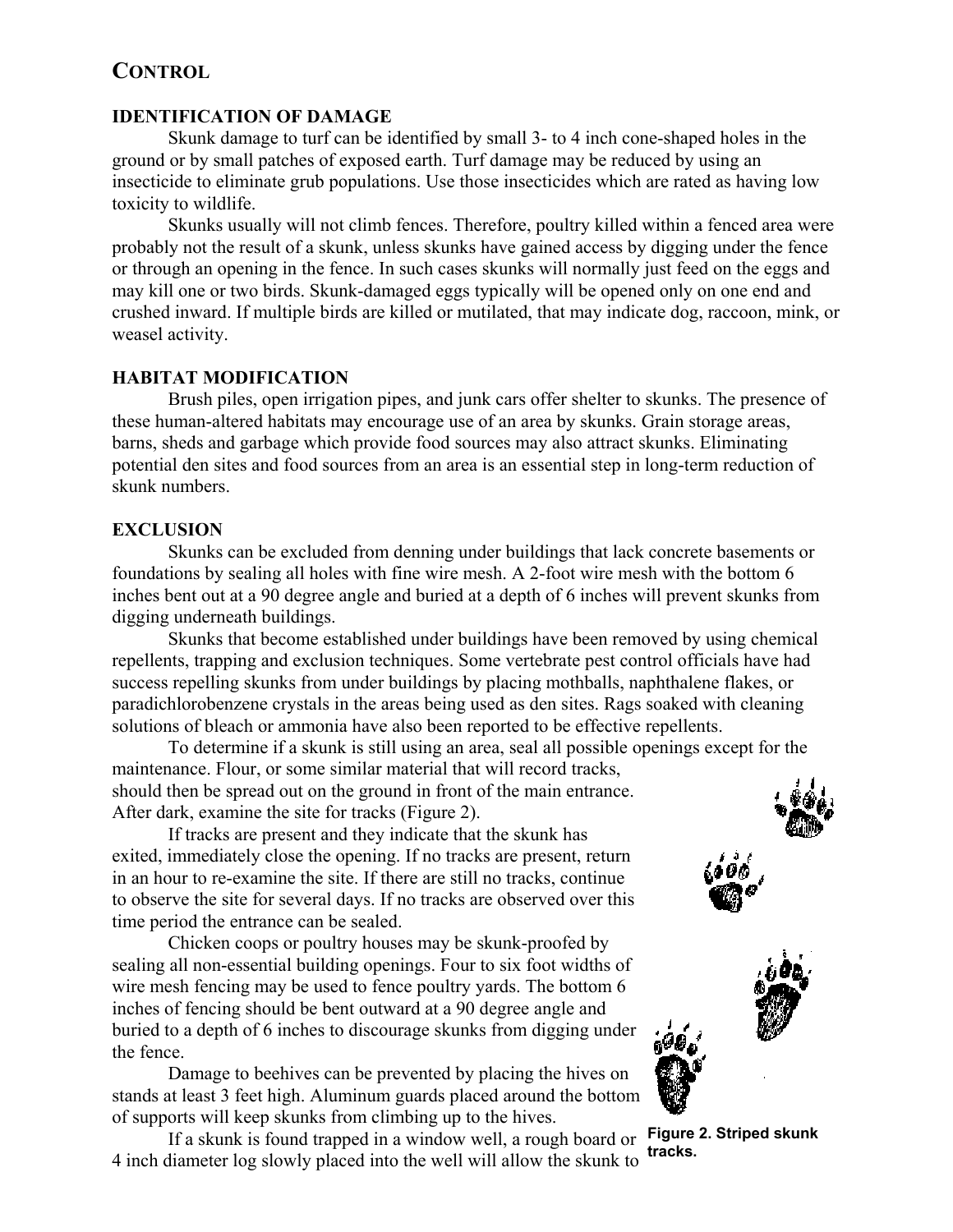# **CONTROL**

#### **IDENTIFICATION OF DAMAGE**

Skunk damage to turf can be identified by small 3- to 4 inch cone-shaped holes in the ground or by small patches of exposed earth. Turf damage may be reduced by using an insecticide to eliminate grub populations. Use those insecticides which are rated as having low toxicity to wildlife.

Skunks usually will not climb fences. Therefore, poultry killed within a fenced area were probably not the result of a skunk, unless skunks have gained access by digging under the fence or through an opening in the fence. In such cases skunks will normally just feed on the eggs and may kill one or two birds. Skunk-damaged eggs typically will be opened only on one end and crushed inward. If multiple birds are killed or mutilated, that may indicate dog, raccoon, mink, or weasel activity.

#### **HABITAT MODIFICATION**

Brush piles, open irrigation pipes, and junk cars offer shelter to skunks. The presence of these human-altered habitats may encourage use of an area by skunks. Grain storage areas, barns, sheds and garbage which provide food sources may also attract skunks. Eliminating potential den sites and food sources from an area is an essential step in long-term reduction of skunk numbers.

#### **EXCLUSION**

Skunks can be excluded from denning under buildings that lack concrete basements or foundations by sealing all holes with fine wire mesh. A 2-foot wire mesh with the bottom 6 inches bent out at a 90 degree angle and buried at a depth of 6 inches will prevent skunks from digging underneath buildings.

Skunks that become established under buildings have been removed by using chemical repellents, trapping and exclusion techniques. Some vertebrate pest control officials have had success repelling skunks from under buildings by placing mothballs, naphthalene flakes, or paradichlorobenzene crystals in the areas being used as den sites. Rags soaked with cleaning solutions of bleach or ammonia have also been reported to be effective repellents.

To determine if a skunk is still using an area, seal all possible openings except for the maintenance. Flour, or some similar material that will record tracks, should then be spread out on the ground in front of the main entrance. After dark, examine the site for tracks (Figure 2).

If tracks are present and they indicate that the skunk has exited, immediately close the opening. If no tracks are present, return in an hour to re-examine the site. If there are still no tracks, continue to observe the site for several days. If no tracks are observed over this time period the entrance can be sealed.

Chicken coops or poultry houses may be skunk-proofed by sealing all non-essential building openings. Four to six foot widths of wire mesh fencing may be used to fence poultry yards. The bottom 6 inches of fencing should be bent outward at a 90 degree angle and buried to a depth of 6 inches to discourage skunks from digging under the fence.

Damage to beehives can be prevented by placing the hives on stands at least 3 feet high. Aluminum guards placed around the bottom of supports will keep skunks from climbing up to the hives.

If a skunk is found trapped in a window well, a rough board or 4 inch diameter log slowly placed into the well will allow the skunk to



**Figure 2. Striped skunk tracks.**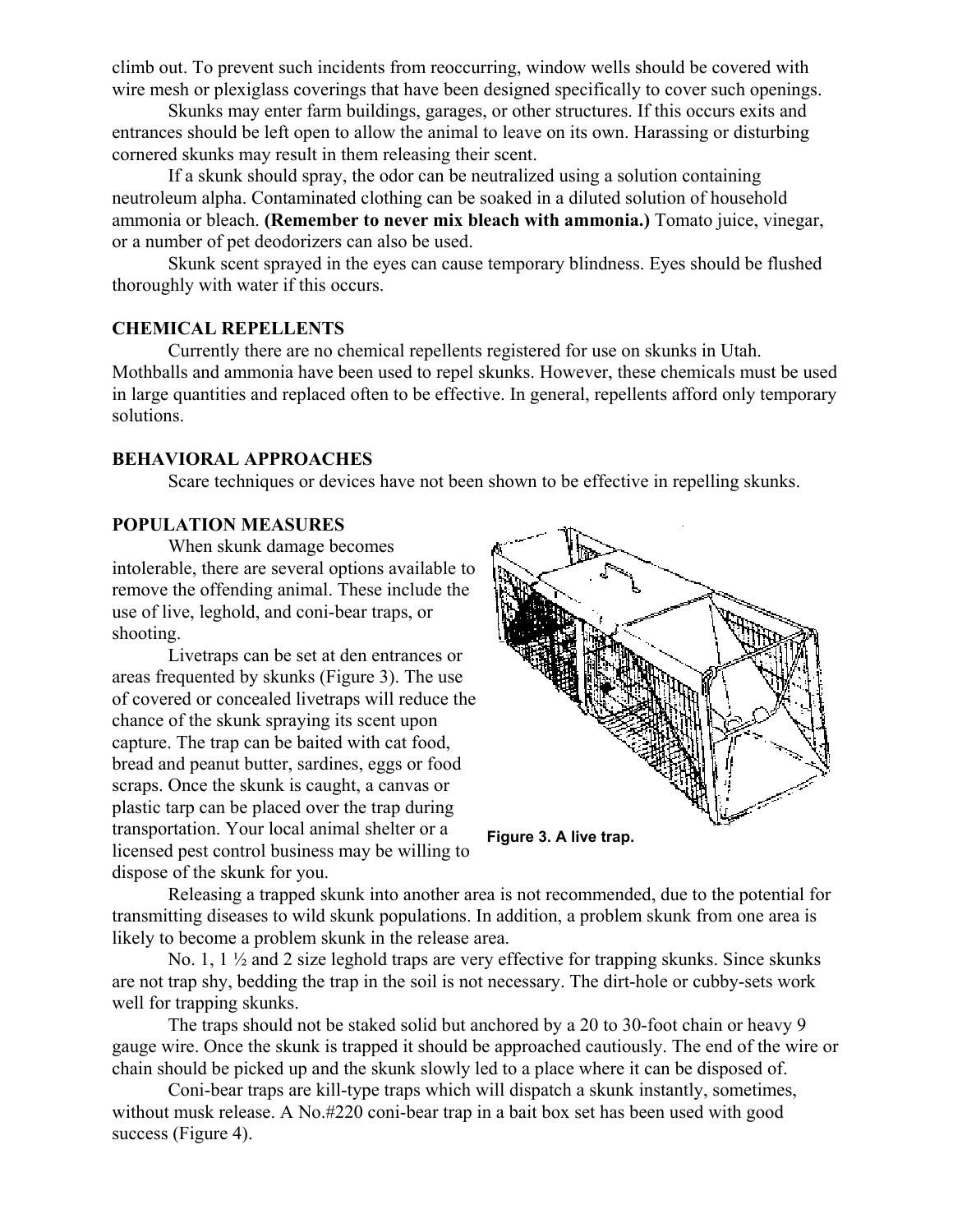climb out. To prevent such incidents from reoccurring, window wells should be covered with wire mesh or plexiglass coverings that have been designed specifically to cover such openings.

Skunks may enter farm buildings, garages, or other structures. If this occurs exits and entrances should be left open to allow the animal to leave on its own. Harassing or disturbing cornered skunks may result in them releasing their scent.

If a skunk should spray, the odor can be neutralized using a solution containing neutroleum alpha. Contaminated clothing can be soaked in a diluted solution of household ammonia or bleach. **(Remember to never mix bleach with ammonia.)** Tomato juice, vinegar, or a number of pet deodorizers can also be used.

Skunk scent sprayed in the eyes can cause temporary blindness. Eyes should be flushed thoroughly with water if this occurs.

#### **CHEMICAL REPELLENTS**

Currently there are no chemical repellents registered for use on skunks in Utah. Mothballs and ammonia have been used to repel skunks. However, these chemicals must be used in large quantities and replaced often to be effective. In general, repellents afford only temporary solutions.

#### **BEHAVIORAL APPROACHES**

Scare techniques or devices have not been shown to be effective in repelling skunks.

#### **POPULATION MEASURES**

When skunk damage becomes intolerable, there are several options available to remove the offending animal. These include the use of live, leghold, and coni-bear traps, or shooting.

Livetraps can be set at den entrances or areas frequented by skunks (Figure 3). The use of covered or concealed livetraps will reduce the chance of the skunk spraying its scent upon capture. The trap can be baited with cat food, bread and peanut butter, sardines, eggs or food scraps. Once the skunk is caught, a canvas or plastic tarp can be placed over the trap during transportation. Your local animal shelter or a licensed pest control business may be willing to dispose of the skunk for you.



**Figure 3. A live trap.**

Releasing a trapped skunk into another area is not recommended, due to the potential for transmitting diseases to wild skunk populations. In addition, a problem skunk from one area is likely to become a problem skunk in the release area.

No. 1,  $1\frac{1}{2}$  and 2 size leghold traps are very effective for trapping skunks. Since skunks are not trap shy, bedding the trap in the soil is not necessary. The dirt-hole or cubby-sets work well for trapping skunks.

The traps should not be staked solid but anchored by a 20 to 30-foot chain or heavy 9 gauge wire. Once the skunk is trapped it should be approached cautiously. The end of the wire or chain should be picked up and the skunk slowly led to a place where it can be disposed of.

Coni-bear traps are kill-type traps which will dispatch a skunk instantly, sometimes, without musk release. A No.#220 coni-bear trap in a bait box set has been used with good success (Figure 4).